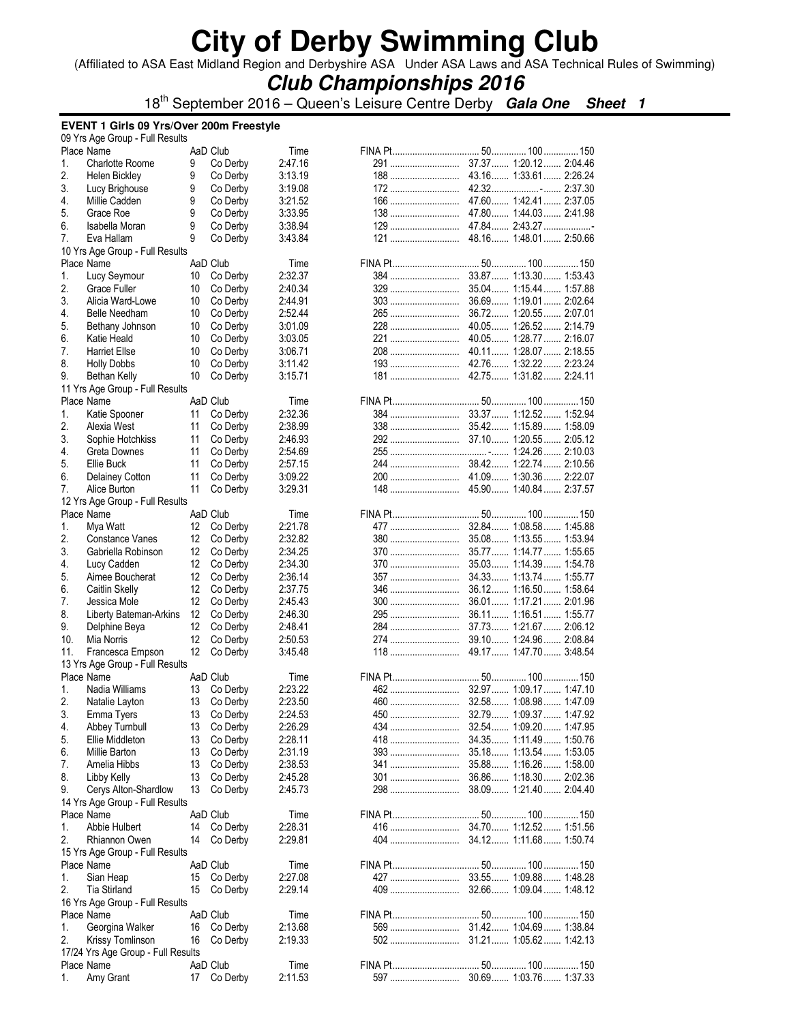(Affiliated to ASA East Midland Region and Derbyshire ASA Under ASA Laws and ASA Technical Rules of Swimming)

## **Club Championships 2016**

18th September 2016 – Queen's Leisure Centre Derby **Gala One Sheet 1**

#### **EVENT 1 Girls 09 Yrs/Over 200m Freestyle**

|     | 09 Yrs Age Group - Full Results    |    |             |         |            |                         |
|-----|------------------------------------|----|-------------|---------|------------|-------------------------|
|     | Place Name                         |    | AaD Club    | Time    |            |                         |
| 1.  | <b>Charlotte Roome</b>             | 9  | Co Derby    | 2:47.16 |            |                         |
| 2.  | Helen Bickley                      | 9  | Co Derby    | 3:13.19 |            |                         |
| 3.  | Lucy Brighouse                     | 9  | Co Derby    | 3:19.08 |            |                         |
| 4.  | Millie Cadden                      | 9  | Co Derby    | 3:21.52 |            |                         |
| 5.  | Grace Roe                          | 9  | Co Derby    | 3:33.95 |            | 47.80 1:44.03 2:41.98   |
| 6.  |                                    | 9  |             | 3:38.94 |            |                         |
|     | Isabella Moran                     |    | Co Derby    |         |            |                         |
| 7.  | Eva Hallam                         | 9  | Co Derby    | 3:43.84 |            |                         |
|     | 10 Yrs Age Group - Full Results    |    |             |         |            |                         |
|     | Place Name                         |    | AaD Club    | Time    |            |                         |
| 1.  | Lucy Seymour                       | 10 | Co Derby    | 2:32.37 | <b>384</b> | 33.87 1:13.30 1:53.43   |
| 2.  | Grace Fuller                       | 10 | Co Derby    | 2:40.34 | 329        | 35.04 1:15.44 1:57.88   |
| 3.  | Alicia Ward-Lowe                   | 10 | Co Derby    | 2:44.91 | 303        | 36.69 1:19.01 2:02.64   |
| 4.  | <b>Belle Needham</b>               | 10 | Co Derby    | 2:52.44 | 265        | 36.72 1:20.55 2:07.01   |
| 5.  | Bethany Johnson                    | 10 | Co Derby    | 3:01.09 | 228        | 40.05 1:26.52 2:14.79   |
| 6.  | Katie Heald                        | 10 | Co Derby    | 3:03.05 |            |                         |
| 7.  |                                    | 10 |             |         |            | 40.11  1:28.07  2:18.55 |
|     | <b>Harriet Ellse</b>               |    | Co Derby    | 3:06.71 | 208        |                         |
| 8.  | <b>Holly Dobbs</b>                 | 10 | Co Derby    | 3:11.42 |            |                         |
| 9.  | Bethan Kelly                       | 10 | Co Derby    | 3:15.71 |            |                         |
|     | 11 Yrs Age Group - Full Results    |    |             |         |            |                         |
|     | Place Name                         |    | AaD Club    | Time    |            |                         |
| 1.  | Katie Spooner                      | 11 | Co Derby    | 2:32.36 |            |                         |
| 2.  | Alexia West                        | 11 | Co Derby    | 2:38.99 |            |                         |
| 3.  | Sophie Hotchkiss                   | 11 | Co Derby    | 2:46.93 |            |                         |
|     |                                    |    |             |         |            |                         |
| 4.  | Greta Downes                       | 11 | Co Derby    | 2:54.69 |            |                         |
| 5.  | Ellie Buck                         | 11 | Co Derby    | 2:57.15 |            |                         |
| 6.  | Delainey Cotton                    | 11 | Co Derby    | 3:09.22 |            |                         |
| 7.  | Alice Burton                       | 11 | Co Derby    | 3:29.31 |            |                         |
|     | 12 Yrs Age Group - Full Results    |    |             |         |            |                         |
|     | Place Name                         |    | AaD Club    | Time    |            |                         |
| 1.  | Mya Watt                           | 12 | Co Derby    | 2:21.78 | 477        | 32.84 1:08.58 1:45.88   |
| 2.  | Constance Vanes                    | 12 | Co Derby    | 2:32.82 | 380        | 35.08 1:13.55 1:53.94   |
| 3.  |                                    |    |             | 2:34.25 |            |                         |
|     | Gabriella Robinson                 | 12 | Co Derby    |         | 370        | 35.77  1:14.77  1:55.65 |
| 4.  | Lucy Cadden                        | 12 | Co Derby    | 2:34.30 | 370        | 35.03 1:14.39 1:54.78   |
| 5.  | Aimee Boucherat                    | 12 | Co Derby    | 2:36.14 | 357        | 34.33 1:13.74 1:55.77   |
| 6.  | Caitlin Skelly                     | 12 | Co Derby    | 2:37.75 | 346        | 36.12 1:16.50 1:58.64   |
| 7.  | Jessica Mole                       | 12 | Co Derby    | 2:45.43 | 300        | 36.01 1:17.21 2:01.96   |
| 8.  | Liberty Bateman-Arkins             | 12 | Co Derby    | 2:46.30 | 295        | 36.11 1:16.51 1:55.77   |
| 9.  | Delphine Beya                      | 12 | Co Derby    | 2:48.41 | 284        | 37.73 1:21.67 2:06.12   |
| 10. | Mia Norris                         | 12 | Co Derby    | 2:50.53 | 274        | 39.10 1:24.96 2:08.84   |
| 11. |                                    | 12 |             | 3:45.48 | 118        | 49.17 1:47.70 3:48.54   |
|     | Francesca Empson                   |    | Co Derby    |         |            |                         |
|     | 13 Yrs Age Group - Full Results    |    |             |         |            |                         |
|     | Place Name                         |    | AaD Club    | Time    |            |                         |
| 1.  | Nadia Williams                     | 13 | Co Derby    | 2:23.22 |            |                         |
| 2.  | Natalie Layton                     | 13 | Co Derby    | 2:23.50 |            |                         |
| 3.  | Emma Tyers                         | 13 | Co Derby    | 2:24.53 |            |                         |
| 4.  | Abbey Turnbull                     | 13 | Co Derby    | 2:26.29 | 434        | 32.54 1:09.20 1:47.95   |
| 5.  | Ellie Middleton                    | 13 | Co Derby    | 2:28.11 | 418        | 34.35 1:11.49 1:50.76   |
| 6.  |                                    |    |             | 2:31.19 |            | 35.18 1:13.54  1:53.05  |
|     | Millie Barton                      | 13 | Co Derby    |         |            |                         |
| 7.  | Amelia Hibbs                       | 13 | Co Derby    | 2:38.53 | 341        | 35.88 1:16.26 1:58.00   |
| 8.  | Libby Kelly                        | 13 | Co Derby    | 2:45.28 | 301        | 36.86 1:18.30 2:02.36   |
| 9.  | Cerys Alton-Shardlow               | 13 | Co Derby    | 2:45.73 | 298        | 38.09 1:21.40 2:04.40   |
|     | 14 Yrs Age Group - Full Results    |    |             |         |            |                         |
|     | Place Name                         |    | AaD Club    | Time    |            |                         |
| 1.  | Abbie Hulbert                      |    | 14 Co Derby | 2:28.31 |            |                         |
| 2.  | Rhiannon Owen                      | 14 | Co Derby    | 2:29.81 | 404        | 34.12 1:11.68 1:50.74   |
|     |                                    |    |             |         |            |                         |
|     | 15 Yrs Age Group - Full Results    |    |             |         |            |                         |
|     | Place Name                         |    | AaD Club    | Time    |            |                         |
| 1.  | Sian Heap                          | 15 | Co Derby    | 2:27.08 |            |                         |
| 2.  | Tia Stirland                       | 15 | Co Derby    | 2:29.14 |            |                         |
|     | 16 Yrs Age Group - Full Results    |    |             |         |            |                         |
|     | Place Name                         |    | AaD Club    | Time    |            |                         |
| 1.  | Georgina Walker                    | 16 | Co Derby    | 2:13.68 |            |                         |
|     |                                    |    |             |         |            |                         |
| 2.  | Krissy Tomlinson                   | 16 | Co Derby    | 2:19.33 | 502        | 31.21 1:05.62 1:42.13   |
|     | 17/24 Yrs Age Group - Full Results |    |             |         |            |                         |
|     | Place Name                         |    | AaD Club    | Time    |            |                         |
| 1.  | Amy Grant                          | 17 | Co Derby    | 2:11.53 | 597        | 30.69 1:03.76 1:37.33   |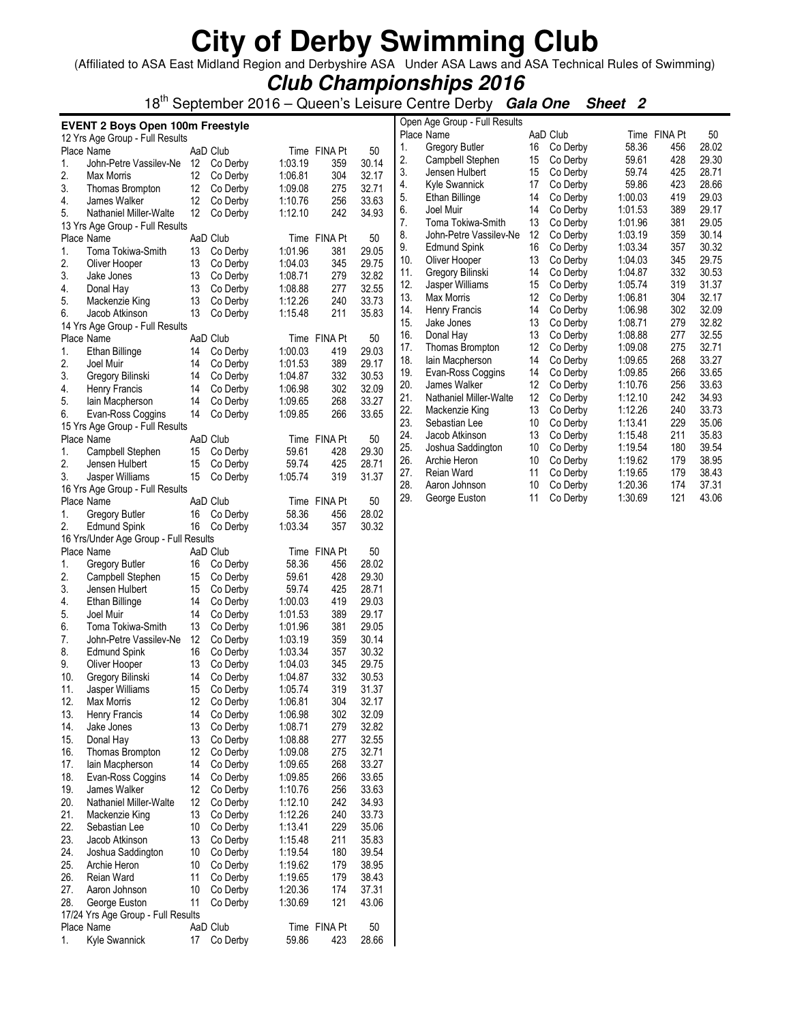(Affiliated to ASA East Midland Region and Derbyshire ASA Under ASA Laws and ASA Technical Rules of Swimming)

| <b>Club Championships 2016</b> |  |  |
|--------------------------------|--|--|
|--------------------------------|--|--|

18th September 2016 – Queen's Leisure Centre Derby **Gala One Sheet 2**

|            | <b>EVENT 2 Boys Open 100m Freestyle</b> |          |                      |                    |              |                |            | Open Age Group - Full Results      |          |                      |                    |              |                |
|------------|-----------------------------------------|----------|----------------------|--------------------|--------------|----------------|------------|------------------------------------|----------|----------------------|--------------------|--------------|----------------|
|            | 12 Yrs Age Group - Full Results         |          |                      |                    |              |                |            | Place Name                         |          | AaD Club             |                    | Time FINA Pt | 50             |
|            | Place Name                              |          | AaD Club             |                    | Time FINA Pt | 50             | 1.         | <b>Gregory Butler</b>              | 16       | Co Derby             | 58.36              | 456          | 28.02          |
| 1.         | John-Petre Vassilev-Ne                  |          | 12 Co Derby          | 1:03.19            | 359          | 30.14          | 2.         | Campbell Stephen                   | 15       | Co Derby             | 59.61              | 428          | 29.30          |
| 2.         | Max Morris                              | 12       | Co Derby             | 1:06.81            | 304          | 32.17          | 3.         | Jensen Hulbert                     | 15       | Co Derby             | 59.74              | 425          | 28.71          |
| 3.         | Thomas Brompton                         | 12       | Co Derby             | 1:09.08            | 275          | 32.71          | 4.         | Kyle Swannick                      | 17       | Co Derby             | 59.86              | 423          | 28.66          |
| 4.         | James Walker                            | 12       | Co Derby             | 1:10.76            | 256          | 33.63          | 5.         | Ethan Billinge                     | 14       | Co Derby             | 1:00.03            | 419          | 29.03          |
| 5.         | Nathaniel Miller-Walte                  | 12       | Co Derby             | 1:12.10            | 242          | 34.93          | 6.         | Joel Muir                          | 14       | Co Derby             | 1:01.53            | 389          | 29.17          |
|            | 13 Yrs Age Group - Full Results         |          |                      |                    |              |                | 7.         | Toma Tokiwa-Smith                  | 13       | Co Derby             | 1:01.96            | 381          | 29.05          |
|            | Place Name                              |          | AaD Club             |                    | Time FINA Pt | 50             | 8.         | John-Petre Vassilev-Ne             | 12       | Co Derby             | 1:03.19            | 359          | 30.14          |
| 1.         | Toma Tokiwa-Smith                       | 13       | Co Derby             | 1:01.96            | 381          | 29.05          | 9.         | <b>Edmund Spink</b>                | 16       | Co Derby             | 1:03.34            | 357          | 30.32          |
| 2.         | Oliver Hooper                           | 13       | Co Derby             | 1:04.03            | 345          | 29.75          | 10.        | Oliver Hooper                      | 13       | Co Derby             | 1:04.03            | 345          | 29.75          |
| 3.         | Jake Jones                              | 13       | Co Derby             | 1:08.71            | 279          | 32.82          | 11.        | Gregory Bilinski                   | 14       | Co Derby             | 1:04.87            | 332          | 30.53          |
| 4.         | Donal Hay                               | 13       | Co Derby             | 1:08.88            | 277          | 32.55          | 12.        | Jasper Williams                    | 15       | Co Derby             | 1:05.74            | 319          | 31.37          |
| 5.         | Mackenzie King                          | 13       | Co Derby             | 1:12.26            | 240          | 33.73          | 13.        | Max Morris                         | 12       | Co Derby             | 1:06.81<br>1:06.98 | 304<br>302   | 32.17          |
| 6.         | Jacob Atkinson                          | 13       | Co Derby             | 1:15.48            | 211          | 35.83          | 14.        | Henry Francis                      | 14       | Co Derby             |                    |              | 32.09          |
|            | 14 Yrs Age Group - Full Results         |          |                      |                    |              |                | 15.<br>16. | Jake Jones<br>Donal Hay            | 13<br>13 | Co Derby<br>Co Derby | 1:08.71<br>1:08.88 | 279<br>277   | 32.82<br>32.55 |
|            | Place Name                              |          | AaD Club             |                    | Time FINA Pt | 50             | 17.        |                                    | 12       | Co Derby             | 1:09.08            | 275          | 32.71          |
| 1.         | Ethan Billinge                          | 14       | Co Derby             | 1:00.03            | 419          | 29.03          | 18.        | Thomas Brompton<br>lain Macpherson | 14       | Co Derby             | 1:09.65            | 268          | 33.27          |
| 2.         | Joel Muir                               | 14       | Co Derby             | 1:01.53            | 389          | 29.17          | 19.        | Evan-Ross Coggins                  | 14       | Co Derby             | 1:09.85            | 266          | 33.65          |
| 3.         | Gregory Bilinski                        | 14       | Co Derby             | 1:04.87            | 332          | 30.53          | 20.        | James Walker                       | 12       | Co Derby             | 1:10.76            | 256          | 33.63          |
| 4.         | Henry Francis                           | 14       | Co Derby             | 1:06.98            | 302          | 32.09          | 21.        | Nathaniel Miller-Walte             | 12       | Co Derby             | 1:12.10            | 242          | 34.93          |
| 5.         | lain Macpherson                         | 14       | Co Derby             | 1:09.65            | 268          | 33.27          | 22.        | Mackenzie King                     | 13       | Co Derby             | 1:12.26            | 240          | 33.73          |
| 6.         | Evan-Ross Coggins                       | 14       | Co Derby             | 1:09.85            | 266          | 33.65          | 23.        | Sebastian Lee                      | 10       | Co Derby             | 1:13.41            | 229          | 35.06          |
|            | 15 Yrs Age Group - Full Results         |          |                      |                    |              |                | 24.        | Jacob Atkinson                     | 13       | Co Derby             | 1:15.48            | 211          | 35.83          |
|            | Place Name                              |          | AaD Club             |                    | Time FINA Pt | 50             | 25.        | Joshua Saddington                  | 10       | Co Derby             | 1:19.54            | 180          | 39.54          |
| 1.         | Campbell Stephen                        | 15       | Co Derby             | 59.61              | 428          | 29.30          | 26.        | Archie Heron                       | 10       | Co Derby             | 1:19.62            | 179          | 38.95          |
| 2.         | Jensen Hulbert                          | 15       | Co Derby             | 59.74              | 425          | 28.71          | 27.        | Reian Ward                         | 11       | Co Derby             | 1:19.65            | 179          | 38.43          |
| 3.         | Jasper Williams                         | 15       | Co Derby             | 1:05.74            | 319          | 31.37          | 28.        | Aaron Johnson                      | 10       | Co Derby             | 1:20.36            | 174          | 37.31          |
|            | 16 Yrs Age Group - Full Results         |          |                      |                    |              |                | 29.        | George Euston                      | 11       | Co Derby             | 1:30.69            | 121          | 43.06          |
|            | Place Name                              |          | AaD Club             |                    | Time FINA Pt | 50             |            |                                    |          |                      |                    |              |                |
| 1.         | <b>Gregory Butler</b>                   | 16       | Co Derby             | 58.36              | 456          | 28.02          |            |                                    |          |                      |                    |              |                |
| 2.         | <b>Edmund Spink</b>                     | 16       | Co Derby             | 1:03.34            | 357          | 30.32          |            |                                    |          |                      |                    |              |                |
|            | 16 Yrs/Under Age Group - Full Results   |          |                      |                    |              |                |            |                                    |          |                      |                    |              |                |
|            | Place Name                              |          | AaD Club             |                    | Time FINA Pt | 50             |            |                                    |          |                      |                    |              |                |
| 1.         | <b>Gregory Butler</b>                   | 16       | Co Derby             | 58.36              | 456          | 28.02          |            |                                    |          |                      |                    |              |                |
| 2.         | Campbell Stephen                        | 15       | Co Derby             | 59.61              | 428          | 29.30          |            |                                    |          |                      |                    |              |                |
| 3.         | Jensen Hulbert                          | 15       | Co Derby             | 59.74              | 425          | 28.71          |            |                                    |          |                      |                    |              |                |
| 4.         | Ethan Billinge                          | 14       | Co Derby             | 1:00.03            | 419          | 29.03          |            |                                    |          |                      |                    |              |                |
| 5.         | Joel Muir                               | 14       | Co Derby             | 1:01.53            | 389          | 29.17          |            |                                    |          |                      |                    |              |                |
| 6.         | Toma Tokiwa-Smith                       | 13       | Co Derby             | 1:01.96            | 381<br>359   | 29.05          |            |                                    |          |                      |                    |              |                |
| 7.<br>8.   | John-Petre Vassilev-Ne                  | 12       | Co Derby             | 1:03.19            |              | 30.14          |            |                                    |          |                      |                    |              |                |
|            | <b>Edmund Spink</b>                     | 16       | Co Derby             | 1:03.34<br>1:04.03 | 357<br>345   | 30.32<br>29.75 |            |                                    |          |                      |                    |              |                |
| 9.         | Oliver Hooper<br>Gregory Bilinski       | 13       | Co Derby<br>Co Derby | 1:04.87            | 332          | 30.53          |            |                                    |          |                      |                    |              |                |
| 10.<br>11. |                                         | 14<br>15 | Co Derby             | 1:05.74            | 319          | 31.37          |            |                                    |          |                      |                    |              |                |
| 12.        | Jasper Williams<br>Max Morris           | 12       | Co Derby             | 1:06.81            | 304          | 32.17          |            |                                    |          |                      |                    |              |                |
| 13.        | Henry Francis                           | 14       | Co Derby             | 1:06.98            | 302          | 32.09          |            |                                    |          |                      |                    |              |                |
| 14.        | Jake Jones                              | 13       | Co Derby             | 1:08.71            | 279          | 32.82          |            |                                    |          |                      |                    |              |                |
| 15.        | Donal Hay                               | 13       | Co Derby             | 1:08.88            | 277          | 32.55          |            |                                    |          |                      |                    |              |                |
| 16.        | Thomas Brompton                         | 12       | Co Derby             | 1:09.08            | 275          | 32.71          |            |                                    |          |                      |                    |              |                |
| 17.        | lain Macpherson                         | 14       | Co Derby             | 1:09.65            | 268          | 33.27          |            |                                    |          |                      |                    |              |                |
| 18.        | Evan-Ross Coggins                       | 14       | Co Derby             | 1:09.85            | 266          | 33.65          |            |                                    |          |                      |                    |              |                |
| 19.        | James Walker                            | 12       | Co Derby             | 1:10.76            | 256          | 33.63          |            |                                    |          |                      |                    |              |                |
| 20.        | Nathaniel Miller-Walte                  | 12       | Co Derby             | 1:12.10            | 242          | 34.93          |            |                                    |          |                      |                    |              |                |
| 21.        | Mackenzie King                          | 13       | Co Derby             | 1:12.26            | 240          | 33.73          |            |                                    |          |                      |                    |              |                |
| 22.        | Sebastian Lee                           | 10       | Co Derby             | 1:13.41            | 229          | 35.06          |            |                                    |          |                      |                    |              |                |
| 23.        | Jacob Atkinson                          | 13       | Co Derby             | 1:15.48            | 211          | 35.83          |            |                                    |          |                      |                    |              |                |
| 24.        | Joshua Saddington                       | 10       | Co Derby             | 1:19.54            | 180          | 39.54          |            |                                    |          |                      |                    |              |                |
| 25.        | Archie Heron                            | 10       | Co Derby             | 1:19.62            | 179          | 38.95          |            |                                    |          |                      |                    |              |                |
| 26.        | Reian Ward                              | 11       | Co Derby             | 1:19.65            | 179          | 38.43          |            |                                    |          |                      |                    |              |                |
| 27.        | Aaron Johnson                           | 10       | Co Derby             | 1:20.36            | 174          | 37.31          |            |                                    |          |                      |                    |              |                |
| 28.        | George Euston                           | 11       | Co Derby             | 1:30.69            | 121          | 43.06          |            |                                    |          |                      |                    |              |                |
|            | 17/24 Yrs Age Group - Full Results      |          |                      |                    |              |                |            |                                    |          |                      |                    |              |                |
|            | Place Name                              |          | AaD Club             |                    | Time FINA Pt | 50             |            |                                    |          |                      |                    |              |                |
| 1.         | Kyle Swannick                           | 17       | Co Derby             | 59.86              | 423          | 28.66          |            |                                    |          |                      |                    |              |                |
|            |                                         |          |                      |                    |              |                |            |                                    |          |                      |                    |              |                |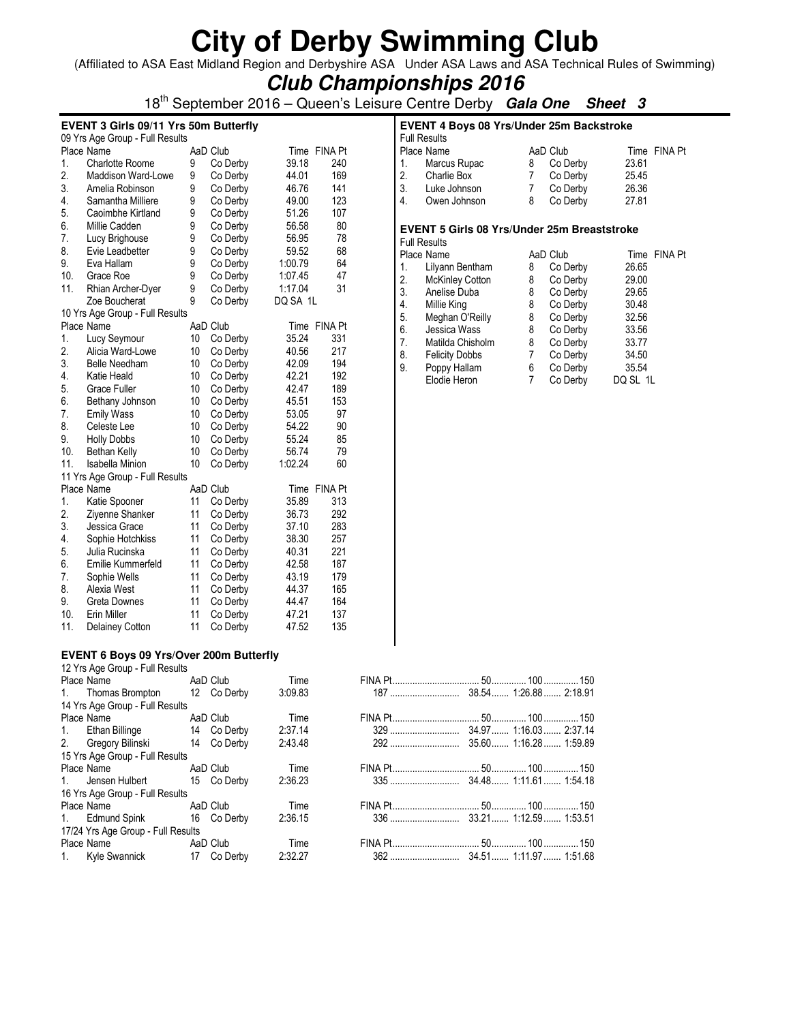(Affiliated to ASA East Midland Region and Derbyshire ASA Under ASA Laws and ASA Technical Rules of Swimming)

| <b>Club Championships 2016</b> |  |  |
|--------------------------------|--|--|
|--------------------------------|--|--|

18th September 2016 – Queen's Leisure Centre Derby **Gala One Sheet 3**

#### **EVENT 3 Girls 09/11 Yrs 50m Butterfly**

|     | 09 Yrs Age Group - Full Results |    |          |          |                |  |  |  |  |  |
|-----|---------------------------------|----|----------|----------|----------------|--|--|--|--|--|
|     | Place Name                      |    | AaD Club | Time     | <b>FINA Pt</b> |  |  |  |  |  |
| 1.  | Charlotte Roome                 | 9  | Co Derby | 39.18    | 240            |  |  |  |  |  |
| 2.  | <b>Maddison Ward-Lowe</b>       | 9  | Co Derby | 44.01    | 169            |  |  |  |  |  |
| 3.  | Amelia Robinson                 | 9  | Co Derby | 46.76    | 141            |  |  |  |  |  |
| 4.  | Samantha Milliere               | 9  | Co Derby | 49.00    | 123            |  |  |  |  |  |
| 5.  | Caoimbhe Kirtland               | 9  | Co Derby | 51.26    | 107            |  |  |  |  |  |
| 6.  | Millie Cadden                   | 9  | Co Derby | 56.58    | 80             |  |  |  |  |  |
| 7.  | Lucy Brighouse                  | 9  | Co Derby | 56.95    | 78             |  |  |  |  |  |
| 8.  | Evie Leadbetter                 | 9  | Co Derby | 59.52    | 68             |  |  |  |  |  |
| 9.  | Eva Hallam                      | 9  | Co Derby | 1:00.79  | 64             |  |  |  |  |  |
| 10. | Grace Roe                       | 9  | Co Derby | 1:07.45  | 47             |  |  |  |  |  |
| 11. | Rhian Archer-Dyer               | 9  | Co Derby | 1:17.04  | 31             |  |  |  |  |  |
|     | Zoe Boucherat                   | 9  | Co Derby | DQ SA 1L |                |  |  |  |  |  |
|     | 10 Yrs Age Group - Full Results |    |          |          |                |  |  |  |  |  |
|     | Place Name                      |    | AaD Club | Time     | <b>FINA Pt</b> |  |  |  |  |  |
| 1.  | Lucy Seymour                    | 10 | Co Derby | 35.24    | 331            |  |  |  |  |  |
| 2.  | Alicia Ward-Lowe                | 10 | Co Derby | 40.56    | 217            |  |  |  |  |  |
| 3.  | <b>Belle Needham</b>            | 10 | Co Derby | 42.09    | 194            |  |  |  |  |  |
| 4.  | Katie Heald                     | 10 | Co Derby | 42.21    | 192            |  |  |  |  |  |
| 5.  | Grace Fuller                    | 10 | Co Derby | 42.47    | 189            |  |  |  |  |  |
| 6.  | Bethany Johnson                 | 10 | Co Derby | 45.51    | 153            |  |  |  |  |  |
| 7.  | <b>Emily Wass</b>               | 10 | Co Derby | 53.05    | 97             |  |  |  |  |  |
| 8.  | Celeste Lee                     | 10 | Co Derby | 54.22    | 90             |  |  |  |  |  |
| 9.  | <b>Holly Dobbs</b>              | 10 | Co Derby | 55.24    | 85             |  |  |  |  |  |
| 10. | Bethan Kelly                    | 10 | Co Derby | 56.74    | 79             |  |  |  |  |  |
| 11. | <b>Isabella Minion</b>          | 10 | Co Derby | 1:02.24  | 60             |  |  |  |  |  |
|     | 11 Yrs Age Group - Full Results |    |          |          |                |  |  |  |  |  |
|     | Place Name                      |    | AaD Club | Time     | <b>FINA Pt</b> |  |  |  |  |  |
| 1.  | Katie Spooner                   | 11 | Co Derby | 35.89    | 313            |  |  |  |  |  |
| 2.  | Ziyenne Shanker                 | 11 | Co Derby | 36.73    | 292            |  |  |  |  |  |
| 3.  | Jessica Grace                   | 11 | Co Derby | 37.10    | 283            |  |  |  |  |  |
| 4.  | Sophie Hotchkiss                | 11 | Co Derby | 38.30    | 257            |  |  |  |  |  |
| 5.  | Julia Rucinska                  | 11 | Co Derby | 40.31    | 221            |  |  |  |  |  |
| 6.  | Emilie Kummerfeld               | 11 | Co Derby | 42.58    | 187            |  |  |  |  |  |
| 7.  | Sophie Wells                    | 11 | Co Derby | 43.19    | 179            |  |  |  |  |  |
| 8.  | Alexia West                     | 11 | Co Derby | 44.37    | 165            |  |  |  |  |  |
| 9.  | <b>Greta Downes</b>             | 11 | Co Derby | 44.47    | 164            |  |  |  |  |  |
| 10. | Erin Miller                     | 11 | Co Derby | 47.21    | 137            |  |  |  |  |  |
| 11. | Delainey Cotton                 | 11 | Co Derby | 47.52    | 135            |  |  |  |  |  |

#### **EVENT 6 Boys 09 Yrs/Over 200m Butterfly**

| 12 Yrs Age Group - Full Results    |             |         |  |
|------------------------------------|-------------|---------|--|
| Place Name <b>Example</b>          | AaD Club    | Time    |  |
| 1. Thomas Brompton 12 Co Derby     |             | 3:09.83 |  |
| 14 Yrs Age Group - Full Results    |             |         |  |
| Place Name                         | AaD Club    | Time    |  |
| 1. Ethan Billinge 14 Co Derby      |             | 2:37.14 |  |
| 2. Gregory Bilinski 14 Co Derby    |             | 2:43.48 |  |
| 15 Yrs Age Group - Full Results    |             |         |  |
| Place Name                         | AaD Club    | Time    |  |
| 1. Jensen Hulbert                  | 15 Co Derby | 2:36.23 |  |
| 16 Yrs Age Group - Full Results    |             |         |  |
| Place Name <b>Example</b>          | AaD Club    | Time    |  |
| 1. Edmund Spink 16 Co Derby        |             | 2:36.15 |  |
| 17/24 Yrs Age Group - Full Results |             |         |  |
| Place Name <b>Example</b>          | AaD Club    | Time    |  |
| 1. Kyle Swannick 17 Co Derby       |             | 2:32.27 |  |
|                                    |             |         |  |

| <b>EVENT 4 Boys 08 Yrs/Under 25m Backstroke</b><br><b>Full Results</b> |                |   |          |       |              |  |  |  |  |
|------------------------------------------------------------------------|----------------|---|----------|-------|--------------|--|--|--|--|
|                                                                        | Place Name     |   | AaD Club |       | Time FINA Pt |  |  |  |  |
| 1.                                                                     | Marcus Rupac   | 8 | Co Derby | 23.61 |              |  |  |  |  |
|                                                                        | 2. Charlie Box |   | Co Derby | 25.45 |              |  |  |  |  |
| $\overline{3}$ .                                                       | Luke Johnson   |   | Co Derby | 26.36 |              |  |  |  |  |
| $\overline{4}$ .                                                       | Owen Johnson   |   | Co Derby | 27.81 |              |  |  |  |  |

#### **EVENT 5 Girls 08 Yrs/Under 25m Breaststroke**

| <b>Full Results</b> |                        |   |          |          |              |
|---------------------|------------------------|---|----------|----------|--------------|
|                     | Place Name             |   | AaD Club |          | Time FINA Pt |
| 1.                  | Lilyann Bentham        | 8 | Co Derby | 26.65    |              |
| 2.                  | <b>McKinley Cotton</b> | 8 | Co Derby | 29.00    |              |
| 3.                  | Anelise Duba           | 8 | Co Derby | 29.65    |              |
| 4.                  | Millie King            | 8 | Co Derby | 30.48    |              |
| 5.                  | Meghan O'Reilly        | 8 | Co Derby | 32.56    |              |
| 6.                  | Jessica Wass           | 8 | Co Derby | 33.56    |              |
| 7.                  | Matilda Chisholm       | 8 | Co Derby | 33.77    |              |
| 8.                  | <b>Felicity Dobbs</b>  |   | Co Derby | 34.50    |              |
| 9.                  | Poppy Hallam           | 6 | Co Derby | 35.54    |              |
|                     | Elodie Heron           |   | Co Derby | DQ SL 1L |              |
|                     |                        |   |          |          |              |

| Place Name <b>Reduction</b> AaD Club |             | TIME    |  |  |
|--------------------------------------|-------------|---------|--|--|
| 1. Thomas Brompton                   | 12 Co Derby | 3:09.83 |  |  |
| 14 Yrs Age Group - Full Results      |             |         |  |  |
| Place Name <b>Allace</b>             | AaD Club    | Time    |  |  |
| 1. Ethan Billinge 14 Co Derby        |             | 2:37.14 |  |  |
| 2. Gregory Bilinski 14 Co Derby      |             | 2:43.48 |  |  |
| 15 Yrs Age Group - Full Results      |             |         |  |  |
| Place Name                           | AaD Club    | Time    |  |  |
| 1. Jensen Hulbert 15 Co Derby        |             | 2:36.23 |  |  |
| 16 Yrs Age Group - Full Results      |             |         |  |  |
| Place Name <b>AaD</b> Club           |             | Time    |  |  |
| 1. Edmund Spink 16 Co Derby          |             | 2:36.15 |  |  |
| 17/24 Yrs Age Group - Full Results   |             |         |  |  |
| Place Name <b>AaD</b> Club           |             | Time    |  |  |
| 1. Kyle Swannick 17 Co Derby         |             | 2:32.27 |  |  |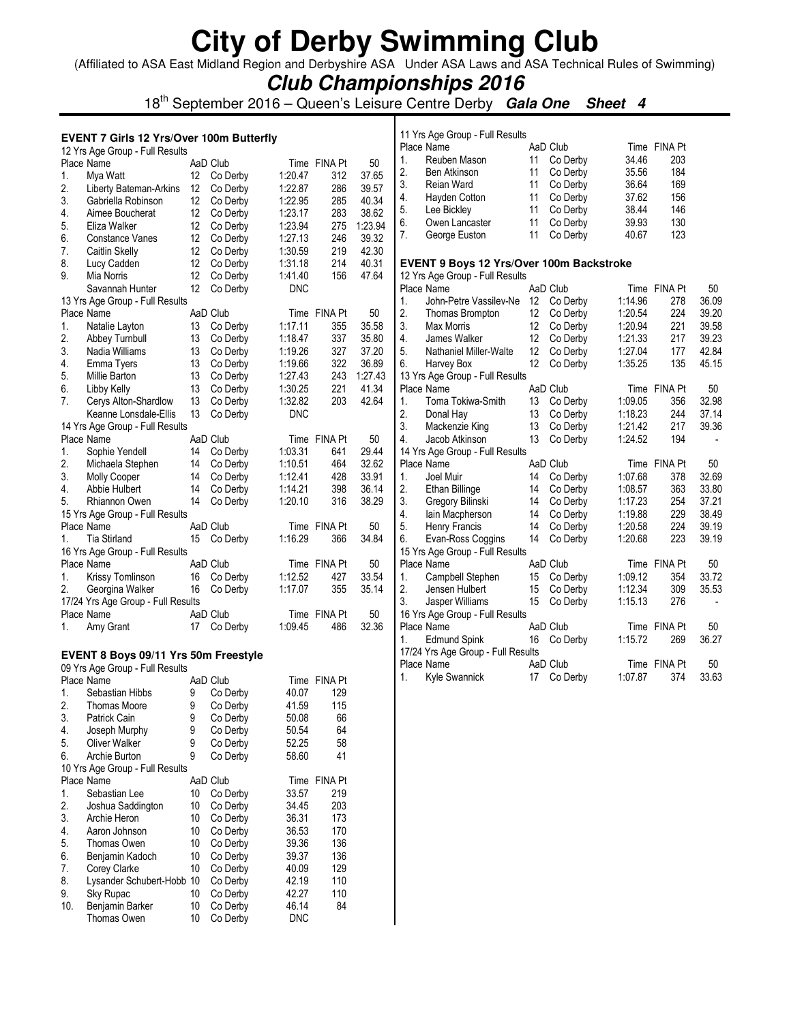(Affiliated to ASA East Midland Region and Derbyshire ASA Under ASA Laws and ASA Technical Rules of Swimming)

**Club Championships 2016**

18th September 2016 – Queen's Leisure Centre Derby **Gala One Sheet 4**

#### **EVENT 7 Girls 12 Yrs/Over 100m Butterfly**

|     | 12 Yrs Age Group - Full Results      |    |          |            |                |         |
|-----|--------------------------------------|----|----------|------------|----------------|---------|
|     | Place Name                           |    | AaD Club |            | Time FINA Pt   | 50      |
| 1.  | Mya Watt                             | 12 | Co Derby | 1:20.47    | 312            | 37.65   |
| 2.  | Liberty Bateman-Arkins               | 12 | Co Derby | 1:22.87    | 286            | 39.57   |
| 3.  | Gabriella Robinson                   | 12 | Co Derby | 1:22.95    | 285            | 40.34   |
| 4.  | Aimee Boucherat                      | 12 | Co Derby | 1:23.17    | 283            | 38.62   |
| 5.  | Eliza Walker                         | 12 | Co Derby | 1:23.94    | 275            | 1:23.94 |
| 6.  | <b>Constance Vanes</b>               | 12 | Co Derby | 1:27.13    | 246            | 39.32   |
| 7.  | Caitlin Skelly                       | 12 | Co Derby | 1:30.59    | 219            | 42.30   |
| 8.  | Lucy Cadden                          | 12 | Co Derby | 1:31.18    | 214            | 40.31   |
| 9.  |                                      | 12 |          |            |                | 47.64   |
|     | Mia Norris                           |    | Co Derby | 1:41.40    | 156            |         |
|     | Savannah Hunter                      | 12 | Co Derby | <b>DNC</b> |                |         |
|     | 13 Yrs Age Group - Full Results      |    |          |            |                |         |
|     | Place Name                           |    | AaD Club | Time       | <b>FINA Pt</b> | 50      |
| 1.  | Natalie Layton                       | 13 | Co Derby | 1:17.11    | 355            | 35.58   |
| 2.  | Abbey Turnbull                       | 13 | Co Derby | 1:18.47    | 337            | 35.80   |
| 3.  | Nadia Williams                       | 13 | Co Derby | 1:19.26    | 327            | 37.20   |
| 4.  | Emma Tyers                           | 13 | Co Derby | 1:19.66    | 322            | 36.89   |
| 5.  | Millie Barton                        | 13 | Co Derby | 1:27.43    | 243            | 1:27.43 |
| 6.  | Libby Kelly                          | 13 | Co Derby | 1:30.25    | 221            | 41.34   |
| 7.  | Cerys Alton-Shardlow                 | 13 | Co Derby | 1:32.82    | 203            | 42.64   |
|     | Keanne Lonsdale-Ellis                | 13 | Co Derby | <b>DNC</b> |                |         |
|     | 14 Yrs Age Group - Full Results      |    |          |            |                |         |
|     | Place Name                           |    | AaD Club | Time       | FINA Pt        | 50      |
| 1.  | Sophie Yendell                       | 14 | Co Derby | 1:03.31    | 641            | 29.44   |
| 2.  | Michaela Stephen                     | 14 | Co Derby | 1:10.51    | 464            | 32.62   |
|     |                                      |    |          |            |                |         |
| 3.  | Molly Cooper                         | 14 | Co Derby | 1:12.41    | 428            | 33.91   |
| 4.  | Abbie Hulbert                        | 14 | Co Derby | 1:14.21    | 398            | 36.14   |
| 5.  | Rhiannon Owen                        | 14 | Co Derby | 1:20.10    | 316            | 38.29   |
|     | 15 Yrs Age Group - Full Results      |    |          |            |                |         |
|     | Place Name                           |    | AaD Club | Time       | FINA Pt        | 50      |
| 1.  | <b>Tia Stirland</b>                  | 15 | Co Derby | 1:16.29    | 366            | 34.84   |
|     | 16 Yrs Age Group - Full Results      |    |          |            |                |         |
|     | Place Name                           |    | AaD Club |            | Time FINA Pt   | 50      |
| 1.  | Krissy Tomlinson                     | 16 | Co Derby | 1:12.52    | 427            | 33.54   |
| 2.  | Georgina Walker                      | 16 | Co Derby | 1:17.07    | 355            | 35.14   |
|     | 17/24 Yrs Age Group - Full Results   |    |          |            |                |         |
|     | Place Name                           |    | AaD Club |            | Time FINA Pt   | 50      |
| 1.  | Amy Grant                            | 17 | Co Derby | 1:09.45    | 486            | 32.36   |
|     |                                      |    |          |            |                |         |
|     |                                      |    |          |            |                |         |
|     | EVENT 8 Boys 09/11 Yrs 50m Freestyle |    |          |            |                |         |
|     | 09 Yrs Age Group - Full Results      |    |          |            |                |         |
|     | Place Name                           |    | AaD Club |            | Time FINA Pt   |         |
| 1.  | Sebastian Hibbs                      | 9  | Co Derby | 40.07      | 129            |         |
| 2.  | <b>Thomas Moore</b>                  | 9  | Co Derby | 41.59      | 115            |         |
| 3.  | Patrick Cain                         | 9  | Co Derby | 50.08      | 66             |         |
| 4.  | Joseph Murphy                        | 9  | Co Derby | 50.54      | 64             |         |
| 5.  | Oliver Walker                        | 9  | Co Derby | 52.25      | 58             |         |
| 6.  | Archie Burton                        | 9  | Co Derby | 58.60      | 41             |         |
|     | 10 Yrs Age Group - Full Results      |    |          |            |                |         |
|     | Place Name                           |    | AaD Club | Time       | <b>FINA Pt</b> |         |
| 1.  | Sebastian Lee                        | 10 | Co Derby | 33.57      | 219            |         |
| 2.  | Joshua Saddington                    | 10 | Co Derby | 34.45      | 203            |         |
| 3.  | Archie Heron                         | 10 | Co Derby | 36.31      | 173            |         |
| 4.  | Aaron Johnson                        | 10 | Co Derby | 36.53      | 170            |         |
| 5.  |                                      | 10 |          | 39.36      | 136            |         |
|     | Thomas Owen                          |    | Co Derby |            |                |         |
| 6.  | Benjamin Kadoch                      | 10 | Co Derby | 39.37      | 136            |         |
| 7.  | Corey Clarke                         | 10 | Co Derby | 40.09      | 129            |         |
| 8.  | Lysander Schubert-Hobb 10            |    | Co Derby | 42.19      | 110            |         |
| 9.  | Sky Rupac                            | 10 | Co Derby | 42.27      | 110            |         |
| 10. | Benjamin Barker                      | 10 | Co Derby | 46.14      | 84             |         |
|     | Thomas Owen                          | 10 | Co Derby | <b>DNC</b> |                |         |

|    | 11 Yrs Age Group - Full Results               |          |                      |         |                |       |
|----|-----------------------------------------------|----------|----------------------|---------|----------------|-------|
|    | Place Name                                    |          | AaD Club             |         | Time FINA Pt   |       |
| 1. | Reuben Mason                                  | 11       | Co Derby             | 34.46   | 203            |       |
| 2. | Ben Atkinson                                  | 11       | Co Derby             | 35.56   | 184            |       |
| 3. | Reian Ward                                    | 11       | Co Derby             | 36.64   | 169            |       |
| 4. | Hayden Cotton                                 | 11       | Co Derby             | 37.62   | 156            |       |
| 5. | Lee Bickley                                   | 11       | Co Derby             | 38.44   | 146            |       |
| 6. | Owen Lancaster                                | 11       | Co Derby             | 39.93   | 130            |       |
| 7. | George Euston                                 | 11       | Co Derby             | 40.67   | 123            |       |
|    |                                               |          |                      |         |                |       |
|    | EVENT 9 Boys 12 Yrs/Over 100m Backstroke      |          |                      |         |                |       |
|    | 12 Yrs Age Group - Full Results               |          |                      |         |                |       |
|    | Place Name                                    |          | AaD Club             |         | Time FINA Pt   | 50    |
| 1. | John-Petre Vassilev-Ne                        | 12       | Co Derby             | 1:14.96 | 278            | 36.09 |
| 2. | Thomas Brompton                               | 12       | Co Derby             | 1:20.54 | 224            | 39.20 |
| 3. | Max Morris                                    | 12       | Co Derby             | 1:20.94 | 221            | 39.58 |
| 4. | James Walker                                  | 12       | Co Derby             | 1:21.33 | 217            | 39.23 |
| 5. | Nathaniel Miller-Walte                        | 12       | Co Derby             | 1:27.04 | 177            | 42.84 |
| 6. | Harvey Box                                    | 12       | Co Derby             | 1:35.25 | 135            | 45.15 |
|    | 13 Yrs Age Group - Full Results               |          |                      |         |                |       |
|    | Place Name                                    |          | AaD Club             | Time    | <b>FINA Pt</b> | 50    |
| 1. | Toma Tokiwa-Smith                             | 13       | Co Derby             | 1:09.05 | 356            | 32.98 |
| 2. | Donal Hay                                     | 13       | Co Derby             | 1:18.23 | 244            | 37.14 |
| 3. | Mackenzie King                                | 13       | Co Derby             | 1:21.42 | 217            | 39.36 |
| 4. | Jacob Atkinson                                | 13       | Co Derby             | 1:24.52 | 194            | -     |
|    | 14 Yrs Age Group - Full Results               |          |                      |         |                |       |
|    | Place Name                                    |          | AaD Club             |         | Time FINA Pt   | 50    |
| 1. | Joel Muir                                     | 14       | Co Derby             | 1:07.68 | 378            | 32.69 |
| 2. |                                               | 14       |                      | 1:08.57 | 363            | 33.80 |
| 3. | Ethan Billinge                                |          | Co Derby             | 1:17.23 | 254            | 37.21 |
| 4. | Gregory Bilinski                              | 14<br>14 | Co Derby<br>Co Derby |         | 229            | 38.49 |
|    | lain Macpherson                               | 14       |                      | 1:19.88 |                |       |
| 5. | Henry Francis                                 |          | Co Derby             | 1:20.58 | 224            | 39.19 |
| 6. | Evan-Ross Coggins                             | 14       | Co Derby             | 1:20.68 | 223            | 39.19 |
|    | 15 Yrs Age Group - Full Results<br>Place Name |          | AaD Club             |         | Time FINA Pt   | 50    |
| 1. |                                               |          |                      |         |                |       |
|    | Campbell Stephen                              | 15       | Co Derby             | 1:09.12 | 354            | 33.72 |
| 2. | Jensen Hulbert                                | 15       | Co Derby             | 1:12.34 | 309            | 35.53 |
| 3. | Jasper Williams                               | 15       | Co Derby             | 1:15.13 | 276            | -     |
|    | 16 Yrs Age Group - Full Results               |          |                      |         |                |       |
|    | Place Name                                    |          | AaD Club             |         | Time FINA Pt   | 50    |
| 1. | <b>Edmund Spink</b>                           | 16       | Co Derby             | 1:15.72 | 269            | 36.27 |
|    | 17/24 Yrs Age Group - Full Results            |          |                      |         |                |       |
|    | Place Name                                    |          | AaD Club             |         | Time FINA Pt   | 50    |
| 1. | <b>Kyle Swannick</b>                          | 17       | Co Derby             | 1:07.87 | 374            | 33.63 |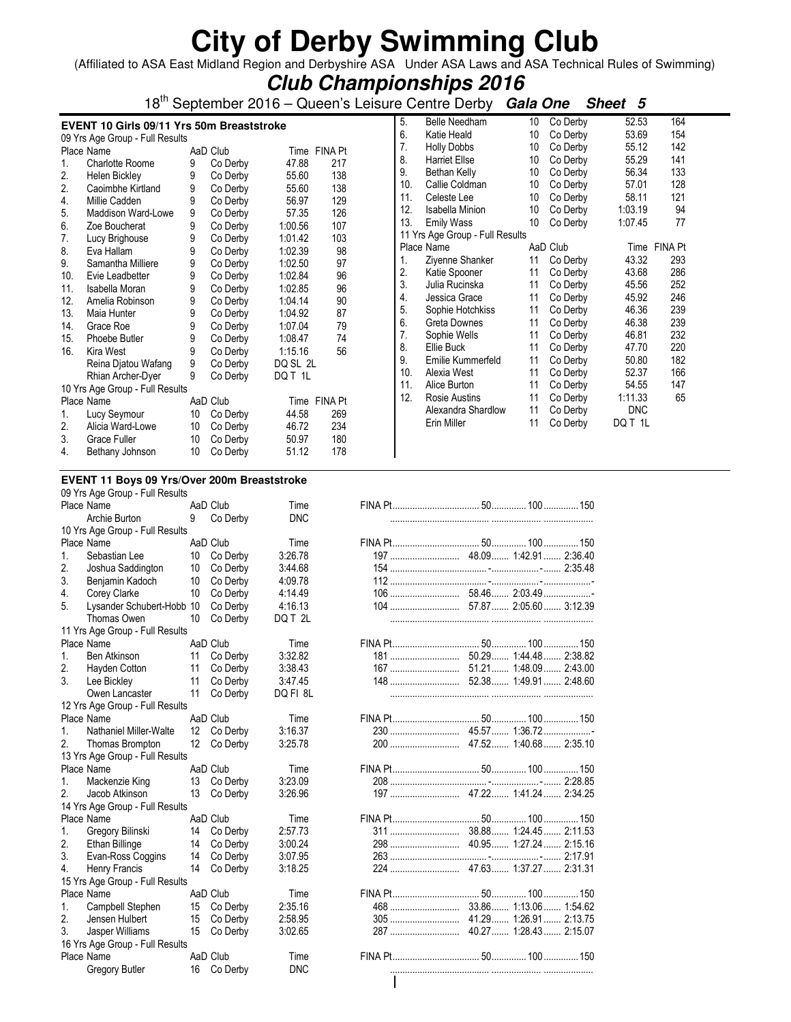(Affiliated to ASA East Midland Region and Derbyshire ASA Under ASA Laws and ASA Technical Rules of Swimming)

|                                                                 | <b>Club Championships 2016</b>                                                                                                                                                                                                                     |                                                          |                                                                                                                                              |                                                                                                                                   |                                                           |                                                                  |                                                                                                                                                                                                         |                                                                |                                                                                                                                              |                                                                                                 |                                                                                           |  |  |
|-----------------------------------------------------------------|----------------------------------------------------------------------------------------------------------------------------------------------------------------------------------------------------------------------------------------------------|----------------------------------------------------------|----------------------------------------------------------------------------------------------------------------------------------------------|-----------------------------------------------------------------------------------------------------------------------------------|-----------------------------------------------------------|------------------------------------------------------------------|---------------------------------------------------------------------------------------------------------------------------------------------------------------------------------------------------------|----------------------------------------------------------------|----------------------------------------------------------------------------------------------------------------------------------------------|-------------------------------------------------------------------------------------------------|-------------------------------------------------------------------------------------------|--|--|
|                                                                 |                                                                                                                                                                                                                                                    |                                                          |                                                                                                                                              |                                                                                                                                   |                                                           |                                                                  | 18 <sup>th</sup> September 2016 – Queen's Leisure Centre Derby Gala One                                                                                                                                 |                                                                |                                                                                                                                              | Sheet 5                                                                                         |                                                                                           |  |  |
| 1.                                                              | EVENT 10 Girls 09/11 Yrs 50m Breaststroke<br>09 Yrs Age Group - Full Results<br>Place Name<br>Charlotte Roome                                                                                                                                      | 9                                                        | AaD Club<br>Co Derby                                                                                                                         | 47.88                                                                                                                             | Time FINA Pt<br>217                                       | 5.<br>6.<br>7.<br>8.                                             | <b>Belle Needham</b><br>Katie Heald<br><b>Holly Dobbs</b><br><b>Harriet Ellse</b>                                                                                                                       | 10<br>10<br>10<br>10                                           | Co Derby<br>Co Derby<br>Co Derby<br>Co Derby                                                                                                 | 52.53<br>53.69<br>55.12<br>55.29                                                                | 164<br>154<br>142<br>141                                                                  |  |  |
| 2.<br>2.<br>4.<br>5.<br>6.                                      | Helen Bickley<br>Caoimbhe Kirtland<br>Millie Cadden<br>Maddison Ward-Lowe<br>Zoe Boucherat                                                                                                                                                         | 9<br>9<br>9<br>9<br>9                                    | Co Derby<br>Co Derby<br>Co Derby<br>Co Derby<br>Co Derby                                                                                     | 55.60<br>55.60<br>56.97<br>57.35<br>1:00.56                                                                                       | 138<br>138<br>129<br>126<br>107                           | 9.<br>10.<br>11.<br>12.<br>13.                                   | Bethan Kelly<br>Callie Coldman<br>Celeste Lee<br><b>Isabella Minion</b><br><b>Emily Wass</b><br>11 Yrs Age Group - Full Results                                                                         | 10<br>10<br>10<br>10<br>10                                     | Co Derby<br>Co Derby<br>Co Derby<br>Co Derby<br>Co Derby                                                                                     | 56.34<br>57.01<br>58.11<br>1:03.19<br>1:07.45                                                   | 133<br>128<br>121<br>94<br>77                                                             |  |  |
| 7.<br>8.<br>9.<br>10.<br>11.<br>12.<br>13.<br>14.<br>15.<br>16. | Lucy Brighouse<br>Eva Hallam<br>Samantha Milliere<br>Evie Leadbetter<br>Isabella Moran<br>Amelia Robinson<br>Maia Hunter<br>Grace Roe<br>Phoebe Butler<br>Kira West<br>Reina Djatou Wafang<br>Rhian Archer-Dyer<br>10 Yrs Age Group - Full Results | 9<br>9<br>9<br>9<br>9<br>9<br>9<br>9<br>9<br>9<br>9<br>9 | Co Derby<br>Co Derby<br>Co Derby<br>Co Derby<br>Co Derby<br>Co Derby<br>Co Derby<br>Co Derby<br>Co Derby<br>Co Derby<br>Co Derby<br>Co Derby | 1:01.42<br>1:02.39<br>1:02.50<br>1:02.84<br>1:02.85<br>1:04.14<br>1:04.92<br>1:07.04<br>1:08.47<br>1:15.16<br>DQ SL 2L<br>DQ T 1L | 103<br>98<br>97<br>96<br>96<br>90<br>87<br>79<br>74<br>56 | 1.<br>2.<br>3.<br>4.<br>5.<br>6.<br>7.<br>8.<br>9.<br>10.<br>11. | Place Name<br>Zivenne Shanker<br>Katie Spooner<br>Julia Rucinska<br>Jessica Grace<br>Sophie Hotchkiss<br>Greta Downes<br>Sophie Wells<br>Ellie Buck<br>Emilie Kummerfeld<br>Alexia West<br>Alice Burton | 11<br>11<br>11<br>11<br>11<br>11<br>11<br>11<br>11<br>11<br>11 | AaD Club<br>Co Derby<br>Co Derby<br>Co Derby<br>Co Derby<br>Co Derby<br>Co Derby<br>Co Derby<br>Co Derby<br>Co Derby<br>Co Derby<br>Co Derby | 43.32<br>43.68<br>45.56<br>45.92<br>46.36<br>46.38<br>46.81<br>47.70<br>50.80<br>52.37<br>54.55 | Time FINA Pt<br>293<br>286<br>252<br>246<br>239<br>239<br>232<br>220<br>182<br>166<br>147 |  |  |
| 1.<br>2.<br>3.<br>4.                                            | Place Name<br>Lucy Seymour<br>Alicia Ward-Lowe<br><b>Grace Fuller</b><br>Bethany Johnson                                                                                                                                                           | 10<br>10<br>10<br>10                                     | AaD Club<br>Co Derby<br>Co Derby<br>Co Derby<br>Co Derby                                                                                     | 44.58<br>46.72<br>50.97<br>51.12                                                                                                  | Time FINA Pt<br>269<br>234<br>180<br>178                  | 12.                                                              | Rosie Austins<br>Alexandra Shardlow<br>Erin Miller                                                                                                                                                      | 11<br>11<br>11                                                 | Co Derby<br>Co Derby<br>Co Derby                                                                                                             | 1:11.33<br><b>DNC</b><br>DQ T 1L                                                                | 65                                                                                        |  |  |

#### **EVENT 11 Boys 09 Yrs/Over 200m Breaststroke**  09 Yrs Age Group - Full Results

|             | US TIS AGE GIUUD - FUII RESUILS |    |             |            |     |                         |  |
|-------------|---------------------------------|----|-------------|------------|-----|-------------------------|--|
|             | Place Name                      |    | AaD Club    | Time       |     |                         |  |
|             | Archie Burton                   | 9  | Co Derby    | <b>DNC</b> |     |                         |  |
|             | 10 Yrs Age Group - Full Results |    |             |            |     |                         |  |
|             | Place Name                      |    | AaD Club    | Time       |     |                         |  |
| $1_{\cdot}$ | Sebastian Lee                   | 10 | Co Derby    | 3:26.78    |     |                         |  |
| 2.          | Joshua Saddington               | 10 | Co Derby    | 3:44.68    |     |                         |  |
| 3.          | Benjamin Kadoch                 | 10 | Co Derby    | 4:09.78    |     |                         |  |
| 4.          | Corey Clarke                    | 10 | Co Derby    | 4:14.49    |     |                         |  |
| 5.          | Lysander Schubert-Hobb 10       |    | Co Derby    | 4:16.13    |     |                         |  |
|             | Thomas Owen                     | 10 | Co Derby    | DQ T 2L    |     |                         |  |
|             | 11 Yrs Age Group - Full Results |    |             |            |     |                         |  |
|             | Place Name                      |    | AaD Club    | Time       |     |                         |  |
| 1.          | Ben Atkinson                    | 11 | Co Derby    | 3:32.82    |     |                         |  |
| 2.          | Hayden Cotton                   | 11 | Co Derby    | 3:38.43    |     |                         |  |
| 3.          | Lee Bickley                     | 11 | Co Derby    | 3:47.45    |     |                         |  |
|             | Owen Lancaster                  | 11 | Co Derby    | DQ FI 8L   |     |                         |  |
|             | 12 Yrs Age Group - Full Results |    |             |            |     |                         |  |
|             | Place Name                      |    | AaD Club    | Time       |     |                         |  |
| 1.          | Nathaniel Miller-Walte          |    | 12 Co Derby | 3:16.37    |     |                         |  |
| 2.          | Thomas Brompton                 | 12 | Co Derby    | 3:25.78    |     |                         |  |
|             | 13 Yrs Age Group - Full Results |    |             |            |     |                         |  |
|             | Place Name                      |    | AaD Club    | Time       |     |                         |  |
| 1.          | Mackenzie King                  |    | 13 Co Derby | 3:23.09    |     |                         |  |
| 2.          | Jacob Atkinson                  | 13 | Co Derby    | 3:26.96    |     |                         |  |
|             | 14 Yrs Age Group - Full Results |    |             |            |     |                         |  |
|             | Place Name                      |    | AaD Club    | Time       |     |                         |  |
| 1.          | Gregory Bilinski                | 14 | Co Derby    | 2:57.73    |     |                         |  |
| 2.          | Ethan Billinge                  | 14 | Co Derby    | 3:00.24    |     | 40.95 1:27.24 2:15.16   |  |
| 3.          | Evan-Ross Coggins               | 14 | Co Derby    | 3:07.95    |     |                         |  |
| 4.          | Henry Francis                   | 14 | Co Derby    | 3:18.25    |     |                         |  |
|             | 15 Yrs Age Group - Full Results |    |             |            |     |                         |  |
|             | Place Name                      |    | AaD Club    | Time       |     |                         |  |
| 1.          | Campbell Stephen                | 15 | Co Derby    | 2:35.16    |     |                         |  |
| 2.          | Jensen Hulbert                  | 15 | Co Derby    | 2:58.95    |     | 41.29 1:26.91 2:13.75   |  |
| 3.          | Jasper Williams                 | 15 | Co Derby    | 3:02.65    |     | 40.27  1:28.43  2:15.07 |  |
|             |                                 |    |             |            | 287 |                         |  |
|             | 16 Yrs Age Group - Full Results |    |             |            |     |                         |  |
|             | Place Name                      |    | AaD Club    | Time       |     |                         |  |
|             | Gregory Butler                  | 16 | Co Derby    | <b>DNC</b> |     |                         |  |
|             |                                 |    |             |            |     |                         |  |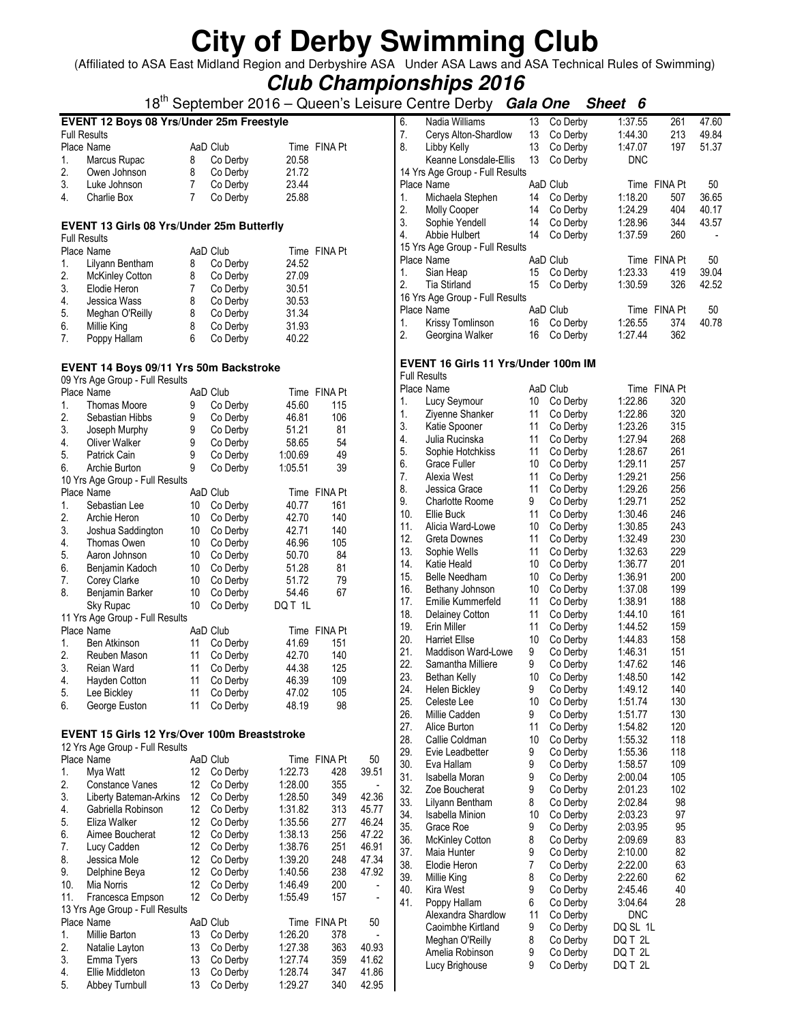(Affiliated to ASA East Midland Region and Derbyshire ASA Under ASA Laws and ASA Technical Rules of Swimming)

**Club Championships 2016**

### 18th September 2016 – Queen's Leisure Centre Derby **Gala One Sheet 6**

|                                           | 18 <sup>tn</sup> September 2016 – Queen's Leisur    |                 |                      |                |              |       |  |  |  |  |  |
|-------------------------------------------|-----------------------------------------------------|-----------------|----------------------|----------------|--------------|-------|--|--|--|--|--|
| EVENT 12 Boys 08 Yrs/Under 25m Freestyle  |                                                     |                 |                      |                |              |       |  |  |  |  |  |
|                                           | <b>Full Results</b>                                 |                 |                      |                |              |       |  |  |  |  |  |
|                                           | Place Name                                          |                 | AaD Club             |                | Time FINA Pt |       |  |  |  |  |  |
| 1.                                        | Marcus Rupac                                        | 8               | Co Derby             | 20.58          |              |       |  |  |  |  |  |
| 2.                                        | Owen Johnson                                        | 8               | Co Derby             | 21.72          |              |       |  |  |  |  |  |
| 3.                                        | Luke Johnson                                        | 7               | Co Derby             | 23.44          |              |       |  |  |  |  |  |
| 4.                                        | <b>Charlie Box</b>                                  | 7               | Co Derby             | 25.88          |              |       |  |  |  |  |  |
|                                           |                                                     |                 |                      |                |              |       |  |  |  |  |  |
| EVENT 13 Girls 08 Yrs/Under 25m Butterfly |                                                     |                 |                      |                |              |       |  |  |  |  |  |
| <b>Full Results</b>                       |                                                     |                 |                      |                |              |       |  |  |  |  |  |
|                                           | Place Name                                          |                 | AaD Club             |                | Time FINA Pt |       |  |  |  |  |  |
| 1.                                        |                                                     |                 |                      |                |              |       |  |  |  |  |  |
| 2.                                        | Lilyann Bentham                                     | 8               | Co Derby             | 24.52          |              |       |  |  |  |  |  |
| 3.                                        | McKinley Cotton<br>Elodie Heron                     | 8<br>7          | Co Derby<br>Co Derby | 27.09<br>30.51 |              |       |  |  |  |  |  |
|                                           | Jessica Wass                                        | 8               |                      |                |              |       |  |  |  |  |  |
| 4.<br>5.                                  |                                                     | 8               | Co Derby<br>Co Derby | 30.53<br>31.34 |              |       |  |  |  |  |  |
|                                           | Meghan O'Reilly                                     |                 |                      |                |              |       |  |  |  |  |  |
| 6.                                        | Millie King                                         | 8               | Co Derby             | 31.93          |              |       |  |  |  |  |  |
| 7.                                        | Poppy Hallam                                        | 6               | Co Derby             | 40.22          |              |       |  |  |  |  |  |
|                                           |                                                     |                 |                      |                |              |       |  |  |  |  |  |
|                                           | EVENT 14 Boys 09/11 Yrs 50m Backstroke              |                 |                      |                |              |       |  |  |  |  |  |
|                                           | 09 Yrs Age Group - Full Results                     |                 |                      |                |              |       |  |  |  |  |  |
|                                           | Place Name                                          |                 | AaD Club             |                | Time FINA Pt |       |  |  |  |  |  |
| 1.                                        | <b>Thomas Moore</b>                                 | 9               | Co Derby             | 45.60          | 115          |       |  |  |  |  |  |
| 2.                                        | Sebastian Hibbs                                     | 9               | Co Derby             | 46.81          | 106          |       |  |  |  |  |  |
| 3.                                        | Joseph Murphy                                       | 9               | Co Derby             | 51.21          | 81           |       |  |  |  |  |  |
| 4.                                        | Oliver Walker                                       | 9               | Co Derby             | 58.65          | 54           |       |  |  |  |  |  |
| 5.                                        | Patrick Cain                                        | 9               | Co Derby             | 1:00.69        | 49           |       |  |  |  |  |  |
| 6.                                        | Archie Burton                                       | 9               | Co Derby             | 1:05.51        | 39           |       |  |  |  |  |  |
|                                           | 10 Yrs Age Group - Full Results                     |                 |                      |                |              |       |  |  |  |  |  |
|                                           | Place Name                                          |                 | AaD Club             |                | Time FINA Pt |       |  |  |  |  |  |
| 1.                                        | Sebastian Lee                                       | 10              | Co Derby             | 40.77          | 161          |       |  |  |  |  |  |
| 2.                                        | Archie Heron                                        | 10              | Co Derby             | 42.70          | 140          |       |  |  |  |  |  |
| 3.                                        | Joshua Saddington                                   | 10              | Co Derby             | 42.71          | 140          |       |  |  |  |  |  |
| 4.                                        | Thomas Owen                                         | 10              | Co Derby             | 46.96          | 105          |       |  |  |  |  |  |
| 5.                                        | Aaron Johnson                                       | 10 <sup>°</sup> | Co Derby             | 50.70          | 84           |       |  |  |  |  |  |
| 6.                                        | Benjamin Kadoch                                     | 10              | Co Derby             | 51.28          | 81           |       |  |  |  |  |  |
| 7.                                        | Corey Clarke                                        | 10              | Co Derby             | 51.72          | 79           |       |  |  |  |  |  |
| 8.                                        | Benjamin Barker                                     | 10              | Co Derby             | 54.46          | 67           |       |  |  |  |  |  |
|                                           | Sky Rupac                                           | 10              | Co Derby             | DQ T 1L        |              |       |  |  |  |  |  |
|                                           | 11 Yrs Age Group - Full Results                     |                 |                      |                |              |       |  |  |  |  |  |
|                                           | Place Name                                          |                 | AaD Club             |                | Time FINA Pt |       |  |  |  |  |  |
| 1.                                        | <b>Ben Atkinson</b>                                 | 11              | Co Derby             | 41.69          | 151          |       |  |  |  |  |  |
| 2.                                        | Reuben Mason                                        | 11              | Co Derby             | 42.70          | 140          |       |  |  |  |  |  |
| 3.                                        | Reian Ward                                          | 11              | Co Derby             | 44.38          | 125          |       |  |  |  |  |  |
| 4.                                        | Hayden Cotton                                       | 11              | Co Derby             | 46.39          | 109          |       |  |  |  |  |  |
| 5.                                        | Lee Bickley                                         | 11              | Co Derby             | 47.02          | 105          |       |  |  |  |  |  |
| 6.                                        | George Euston                                       | 11              | Co Derby             | 48.19          | 98           |       |  |  |  |  |  |
|                                           |                                                     |                 |                      |                |              |       |  |  |  |  |  |
|                                           | <b>EVENT 15 Girls 12 Yrs/Over 100m Breaststroke</b> |                 |                      |                |              |       |  |  |  |  |  |
|                                           | 12 Yrs Age Group - Full Results                     |                 |                      |                |              |       |  |  |  |  |  |
|                                           | Place Name                                          |                 | AaD Club             |                | Time FINA Pt | 50    |  |  |  |  |  |
| 1.                                        | Mya Watt                                            | 12              | Co Derby             | 1:22.73        | 428          | 39.51 |  |  |  |  |  |
| 2.                                        | Constance Vanes                                     | 12              | Co Derby             | 1:28.00        | 355          |       |  |  |  |  |  |
| 3.                                        | Liberty Bateman-Arkins                              | 12              | Co Derby             | 1:28.50        | 349          | 42.36 |  |  |  |  |  |
| 4.                                        | Gabriella Robinson                                  | 12              | Co Derby             | 1:31.82        | 313          | 45.77 |  |  |  |  |  |
| 5.                                        | Eliza Walker                                        | 12              | Co Derby             | 1:35.56        | 277          | 46.24 |  |  |  |  |  |
| 6.                                        | Aimee Boucherat                                     | 12              | Co Derby             | 1:38.13        | 256          | 47.22 |  |  |  |  |  |
| 7.                                        | Lucy Cadden                                         | 12              | Co Derby             | 1:38.76        | 251          | 46.91 |  |  |  |  |  |
| 8.                                        | Jessica Mole                                        | 12              | Co Derby             | 1:39.20        | 248          | 47.34 |  |  |  |  |  |
| 9.                                        | Delphine Beya                                       | 12              | Co Derby             | 1:40.56        | 238          | 47.92 |  |  |  |  |  |
| 10.                                       | Mia Norris                                          | 12              | Co Derby             | 1:46.49        | 200          |       |  |  |  |  |  |
| 11.                                       | Francesca Empson                                    | 12              | Co Derby             | 1:55.49        | 157          |       |  |  |  |  |  |
|                                           | 13 Yrs Age Group - Full Results                     |                 |                      |                |              |       |  |  |  |  |  |
|                                           | Place Name                                          |                 | AaD Club             |                | Time FINA Pt | 50    |  |  |  |  |  |
| 1.                                        | Millie Barton                                       | 13              | Co Derby             | 1:26.20        | 378          |       |  |  |  |  |  |
| 2.                                        | Natalie Layton                                      | 13              | Co Derby             | 1:27.38        | 363          | 40.93 |  |  |  |  |  |
| 3.                                        | Emma Tyers                                          | 13              | Co Derby             | 1:27.74        | 359          | 41.62 |  |  |  |  |  |

3. Emma Tyers 13 Co Derby 1:27.74 359 41.62<br>4. Ellie Middleton 13 Co Derby 1:28.74 347 41.86 4. Ellie Middleton 13 Co Derby 1:28.74 347 41.86<br>5. Abbey Turnbull 13 Co Derby 1:29.27 340 42.95

H

Abbey Turnbull

| 6.                  | Nadia Williams                      | 13 | Co Derby             | 1:37.55    | 261          | 47.60 |
|---------------------|-------------------------------------|----|----------------------|------------|--------------|-------|
| 7.                  | Cerys Alton-Shardlow                | 13 | Co Derby             | 1:44.30    | 213          | 49.84 |
| 8.                  | Libby Kelly                         | 13 | Co Derby             | 1:47.07    | 197          | 51.37 |
|                     | Keanne Lonsdale-Ellis               | 13 | Co Derby             | <b>DNC</b> |              |       |
|                     | 14 Yrs Age Group - Full Results     |    |                      |            |              |       |
|                     | Place Name                          |    | AaD Club             |            | Time FINA Pt | 50    |
| 1.                  | Michaela Stephen                    | 14 | Co Derby             | 1:18.20    | 507          | 36.65 |
| 2.                  | Molly Cooper                        | 14 | Co Derby             | 1:24.29    | 404          | 40.17 |
| 3.                  | Sophie Yendell                      | 14 | Co Derby             | 1:28.96    | 344          | 43.57 |
| 4.                  | Abbie Hulbert                       | 14 | Co Derby             | 1:37.59    | 260          |       |
|                     | 15 Yrs Age Group - Full Results     |    |                      |            |              |       |
|                     | Place Name                          |    | AaD Club             |            | Time FINA Pt | 50    |
| 1.                  | Sian Heap                           | 15 | Co Derby             | 1:23.33    | 419          | 39.04 |
| 2.                  | <b>Tia Stirland</b>                 | 15 | Co Derby             | 1:30.59    | 326          | 42.52 |
|                     | 16 Yrs Age Group - Full Results     |    |                      |            |              |       |
|                     | Place Name                          |    | AaD Club             |            | Time FINA Pt | 50    |
| 1.                  | Krissy Tomlinson                    | 16 | Co Derby             | 1:26.55    | 374          | 40.78 |
| 2.                  | Georgina Walker                     | 16 | Co Derby             | 1:27.44    | 362          |       |
|                     |                                     |    |                      |            |              |       |
|                     |                                     |    |                      |            |              |       |
|                     | EVENT 16 Girls 11 Yrs/Under 100m IM |    |                      |            |              |       |
| <b>Full Results</b> |                                     |    |                      |            |              |       |
|                     | Place Name                          |    | AaD Club             |            | Time FINA Pt |       |
| 1.                  | Lucy Seymour                        | 10 | Co Derby             | 1:22.86    | 320          |       |
| 1.                  | Ziyenne Shanker                     | 11 | Co Derby             | 1:22.86    | 320          |       |
| 3.                  | Katie Spooner                       | 11 | Co Derby             | 1:23.26    | 315          |       |
| 4.                  | Julia Rucinska                      | 11 | Co Derby             | 1:27.94    | 268          |       |
| 5.                  | Sophie Hotchkiss                    | 11 | Co Derby             | 1:28.67    | 261          |       |
| 6.                  | Grace Fuller                        | 10 | Co Derby             | 1:29.11    | 257          |       |
| 7.                  | Alexia West                         | 11 | Co Derby             | 1:29.21    | 256          |       |
| 8.                  | Jessica Grace                       | 11 | Co Derby             | 1:29.26    | 256          |       |
| 9.                  | <b>Charlotte Roome</b>              | 9  | Co Derby             | 1:29.71    | 252          |       |
| 10.                 | Ellie Buck                          | 11 | Co Derby             | 1:30.46    | 246          |       |
| 11.                 | Alicia Ward-Lowe                    | 10 | Co Derby             | 1:30.85    | 243          |       |
| 12.                 | Greta Downes                        | 11 | Co Derby             | 1:32.49    | 230          |       |
| 13.                 | Sophie Wells                        | 11 | Co Derby             | 1:32.63    | 229          |       |
| 14.                 | Katie Heald                         | 10 | Co Derby             | 1:36.77    | 201          |       |
| 15.                 | <b>Belle Needham</b>                | 10 | Co Derby             | 1:36.91    | 200          |       |
| 16.                 | Bethany Johnson                     | 10 | Co Derby             | 1:37.08    | 199          |       |
| 17.                 | Emilie Kummerfeld                   | 11 | Co Derby             | 1:38.91    | 188          |       |
| 18.                 | Delainey Cotton                     | 11 | Co Derby             | 1:44.10    | 161          |       |
| 19.                 | Erin Miller                         | 11 | Co Derby             | 1:44.52    | 159          |       |
| 20.                 | <b>Harriet Ellse</b>                | 10 | Co Derby             | 1:44.83    | 158          |       |
| 21.                 | Maddison Ward-Lowe                  | 9  | Co Derby             | 1:46.31    | 151          |       |
| 22.                 | Samantha Milliere                   | 9  | Co Derby             | 1:47.62    | 146          |       |
| 23.                 | Bethan Kelly                        | 10 | Co Derby             | 1:48.50    | 142          |       |
| 24.                 | Helen Bickley                       | 9  |                      | 1:49.12    | 140          |       |
| 25.                 | Celeste Lee                         | 10 | Co Derby<br>Co Derby | 1:51.74    | 130          |       |
| 26.                 | Millie Cadden                       | 9  | Co Derby             | 1:51.77    | 130          |       |
| 27.                 | Alice Burton                        | 11 | Co Derby             | 1:54.82    | 120          |       |
| 28.                 | Callie Coldman                      | 10 |                      | 1:55.32    | 118          |       |
| 29.                 | Evie Leadbetter                     | 9  | Co Derby<br>Co Derby |            | 118          |       |
|                     |                                     |    |                      | 1:55.36    |              |       |
| 30.                 | Eva Hallam                          | 9  | Co Derby             | 1:58.57    | 109          |       |
| 31.                 | Isabella Moran                      | 9  | Co Derby             | 2:00.04    | 105          |       |
| 32.                 | Zoe Boucherat                       | 9  | Co Derby             | 2:01.23    | 102          |       |
| 33.                 | Lilyann Bentham                     | 8  | Co Derby             | 2:02.84    | 98           |       |
| 34.                 | <b>Isabella Minion</b>              | 10 | Co Derby             | 2:03.23    | 97           |       |
| 35.                 | Grace Roe                           | 9  | Co Derby             | 2:03.95    | 95           |       |
| 36.                 | <b>McKinley Cotton</b>              | 8  | Co Derby             | 2:09.69    | 83           |       |
| 37.                 | Maia Hunter                         | 9  | Co Derby             | 2:10.00    | 82           |       |
| 38.                 | Elodie Heron                        | 7  | Co Derby             | 2:22.00    | 63           |       |
| 39.                 | Millie King                         | 8  | Co Derby             | 2:22.60    | 62           |       |
| 40.                 | Kira West                           | 9  | Co Derby             | 2:45.46    | 40           |       |
| 41.                 | Poppy Hallam                        | 6  | Co Derby             | 3:04.64    | 28           |       |
|                     | Alexandra Shardlow                  | 11 | Co Derby             | <b>DNC</b> |              |       |
|                     | Caoimbhe Kirtland                   | 9  | Co Derby             | DQ SL 1L   |              |       |
|                     | Meghan O'Reilly                     | 8  | Co Derby             | DQ T 2L    |              |       |
|                     | Amelia Robinson                     | 9  | Co Derby             | DQ T 2L    |              |       |
|                     | Lucy Brighouse                      | 9  | Co Derby             | DQ T 2L    |              |       |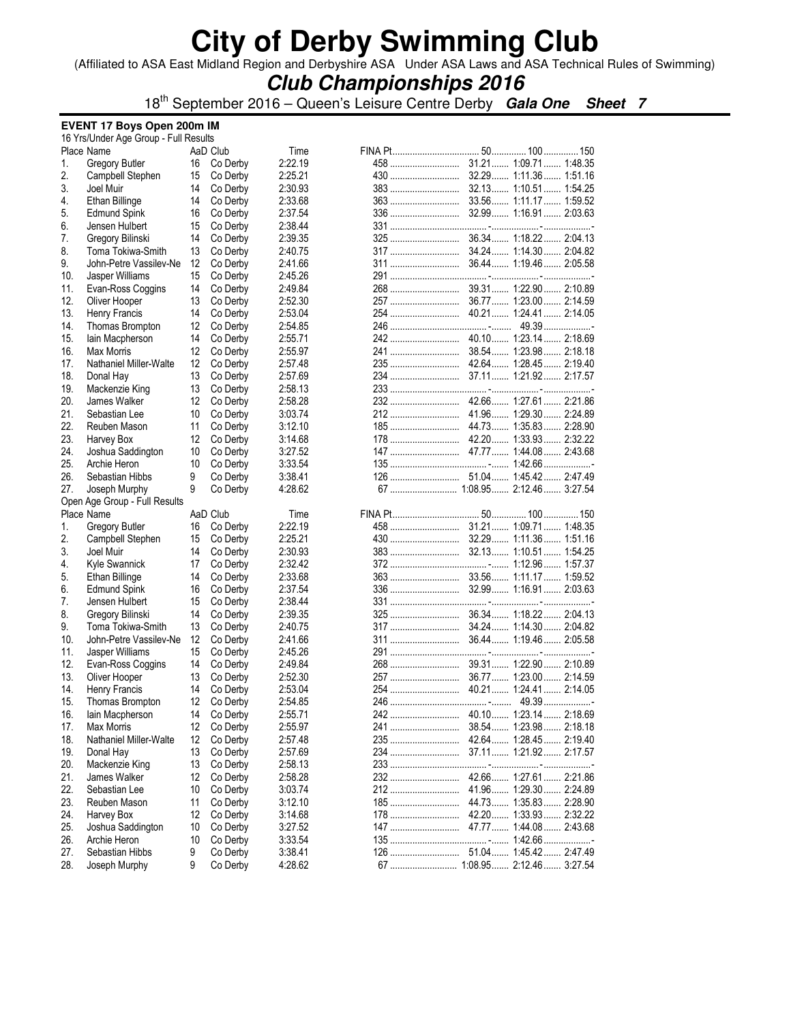(Affiliated to ASA East Midland Region and Derbyshire ASA Under ASA Laws and ASA Technical Rules of Swimming)

## **Club Championships 2016**

18th September 2016 – Queen's Leisure Centre Derby **Gala One Sheet 7**

#### **EVENT 17 Boys Open 200m IM**

|            | 16 Yrs/Under Age Group - Full Results |                   |                      |                    |       |                       |
|------------|---------------------------------------|-------------------|----------------------|--------------------|-------|-----------------------|
|            | Place Name                            |                   | AaD Club             | Time               |       |                       |
| 1.         | <b>Gregory Butler</b>                 | 16                | Co Derby             | 2:22.19            |       |                       |
| 2.         | Campbell Stephen                      | 15                | Co Derby             | 2:25.21            |       |                       |
| 3.         | Joel Muir                             | 14                | Co Derby             | 2:30.93            |       |                       |
| 4.         | Ethan Billinge                        | 14                | Co Derby             | 2:33.68            |       |                       |
| 5.         | <b>Edmund Spink</b>                   | 16                | Co Derby             | 2:37.54            |       |                       |
| 6.         | Jensen Hulbert                        | 15                | Co Derby             | 2:38.44            |       |                       |
| 7.         | Gregory Bilinski                      | 14                | Co Derby             | 2:39.35            |       |                       |
|            |                                       |                   |                      |                    |       |                       |
| 8.         | Toma Tokiwa-Smith                     | 13                | Co Derby             | 2:40.75            |       |                       |
| 9.         | John-Petre Vassilev-Ne                | 12                | Co Derby             | 2:41.66            |       |                       |
| 10.        | Jasper Williams                       | 15                | Co Derby             | 2:45.26            |       |                       |
| 11.        | Evan-Ross Coggins                     | 14                | Co Derby             | 2:49.84            |       |                       |
| 12.        | Oliver Hooper                         | 13                | Co Derby             | 2:52.30            |       |                       |
| 13.        | Henry Francis                         | 14                | Co Derby             | 2:53.04            |       |                       |
| 14.        | Thomas Brompton                       | 12                | Co Derby             | 2:54.85            |       |                       |
| 15.        | lain Macpherson                       | 14                | Co Derby             | 2:55.71            |       |                       |
| 16.        | Max Morris                            | 12                | Co Derby             | 2:55.97            |       |                       |
| 17.        | Nathaniel Miller-Walte                | $12 \overline{ }$ | Co Derby             | 2:57.48            |       |                       |
| 18.        | Donal Hay                             | 13                | Co Derby             | 2:57.69            |       |                       |
| 19.        | Mackenzie King                        | 13                | Co Derby             | 2:58.13            |       |                       |
| 20.        | James Walker                          | 12                | Co Derby             | 2:58.28            |       |                       |
| 21.        | Sebastian Lee                         | 10                | Co Derby             | 3:03.74            |       |                       |
| 22.        | Reuben Mason                          | 11                | Co Derby             | 3:12.10            |       |                       |
| 23.        |                                       | 12                |                      |                    |       |                       |
|            | Harvey Box                            |                   | Co Derby             | 3:14.68            |       |                       |
| 24.        | Joshua Saddington                     | 10                | Co Derby             | 3:27.52            |       |                       |
| 25.        | Archie Heron                          | 10                | Co Derby             | 3:33.54            |       |                       |
| 26.        | Sebastian Hibbs                       | 9                 | Co Derby             | 3:38.41            |       |                       |
| 27.        | Joseph Murphy                         | 9                 | Co Derby             | 4:28.62            |       |                       |
|            | Open Age Group - Full Results         |                   |                      |                    |       |                       |
|            | Place Name                            |                   | AaD Club             | Time               |       |                       |
| 1.         | <b>Gregory Butler</b>                 | 16                | Co Derby             | 2:22.19            |       |                       |
| 2.         | Campbell Stephen                      | 15                | Co Derby             | 2:25.21            |       |                       |
| 3.         | Joel Muir                             | 14                | Co Derby             | 2:30.93            |       |                       |
| 4.         | Kyle Swannick                         | 17                | Co Derby             | 2:32.42            |       |                       |
| 5.         | <b>Ethan Billinge</b>                 | 14                | Co Derby             | 2:33.68            |       |                       |
| 6.         | <b>Edmund Spink</b>                   | 16                | Co Derby             | 2:37.54            |       |                       |
| 7.         | Jensen Hulbert                        | 15                | Co Derby             | 2:38.44            |       |                       |
| 8.         | Gregory Bilinski                      | 14                | Co Derby             | 2:39.35            |       |                       |
| 9.         | Toma Tokiwa-Smith                     | 13                | Co Derby             | 2:40.75            |       |                       |
| 10.        | John-Petre Vassilev-Ne                | 12                | Co Derby             | 2:41.66            |       |                       |
| 11.        | Jasper Williams                       | 15                | Co Derby             | 2:45.26            |       |                       |
| 12.        | Evan-Ross Coggins                     | 14                | Co Derby             | 2:49.84            |       |                       |
|            |                                       |                   |                      |                    |       |                       |
| 13.        | Oliver Hooper                         | 13                | Co Derby             | 2:52.30            |       |                       |
| 14.        | Henry Francis                         | 14                | Co Derby             | 2:53.04            |       |                       |
| 15.        | Thomas Brompton                       | 12                | Co Derby             | 2:54.85            |       |                       |
| 16.        | lain Macpherson                       |                   |                      |                    |       |                       |
|            |                                       | 14                | Co Derby             | 2:55.71            |       |                       |
| 17.        | Max Morris                            | 12                | Co Derby             | 2:55.97            | 241   | 38.54 1:23.98 2:18.18 |
| 18.        | Nathaniel Miller-Walte                | 12                | Co Derby             | 2:57.48            | 235   | 42.64 1:28.45 2:19.40 |
| 19.        | Donal Hay                             | 13                | Co Derby             | 2:57.69            | 234   | 37.11 1:21.92 2:17.57 |
| 20.        | Mackenzie King                        | 13                | Co Derby             | 2:58.13            |       |                       |
| 21.        | James Walker                          | 12                | Co Derby             | 2:58.28            |       |                       |
| 22.        | Sebastian Lee                         | 10                | Co Derby             | 3:03.74            |       |                       |
|            | Reuben Mason                          |                   |                      |                    | $185$ |                       |
| 23.        |                                       | 11                | Co Derby             | 3:12.10            |       | 44.73 1:35.83 2:28.90 |
| 24.        | Harvey Box                            | 12                | Co Derby             | 3:14.68            |       |                       |
| 25.        | Joshua Saddington                     | 10                | Co Derby             | 3:27.52            |       |                       |
| 26.        | Archie Heron                          | 10                | Co Derby             | 3:33.54            |       |                       |
| 27.<br>28. | Sebastian Hibbs<br>Joseph Murphy      | 9<br>9            | Co Derby<br>Co Derby | 3:38.41<br>4:28.62 |       |                       |